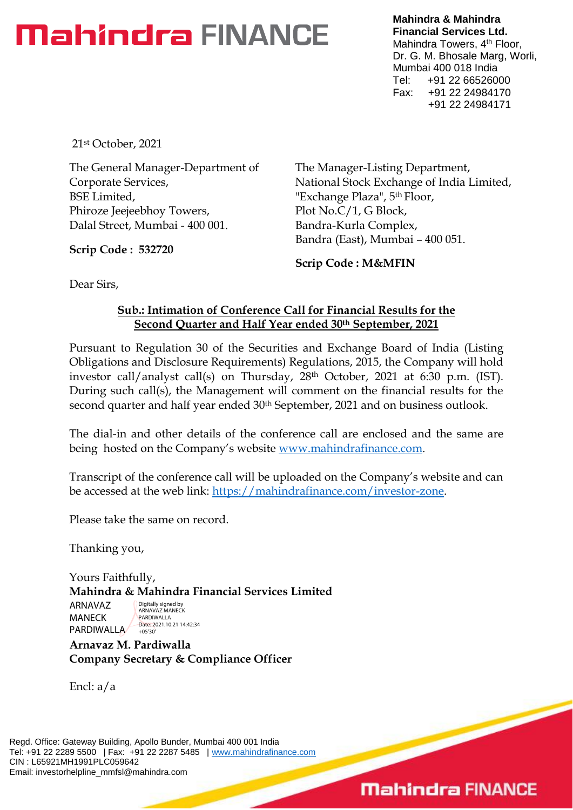# **Mahindra FINANCE**

**Mahindra & Mahindra Financial Services Ltd.** Mahindra Towers, 4<sup>th</sup> Floor, Dr. G. M. Bhosale Marg, Worli, Mumbai 400 018 India Tel: +91 22 66526000 Fax: +91 22 24984170 +91 22 24984171

21st October, 2021

The General Manager-Department of Corporate Services, BSE Limited, Phiroze Jeejeebhoy Towers, Dalal Street, Mumbai - 400 001.

**Scrip Code : 532720**

The Manager-Listing Department, National Stock Exchange of India Limited, "Exchange Plaza", 5th Floor, Plot No.C/1, G Block, Bandra-Kurla Complex, Bandra (East), Mumbai – 400 051.

**Scrip Code : M&MFIN**

Dear Sirs,

#### **Sub.: Intimation of Conference Call for Financial Results for the Second Quarter and Half Year ended 30th September, 2021**

Pursuant to Regulation 30 of the Securities and Exchange Board of India (Listing Obligations and Disclosure Requirements) Regulations, 2015, the Company will hold investor call/analyst call(s) on Thursday, 28th October, 2021 at 6:30 p.m. (IST). During such call(s), the Management will comment on the financial results for the second quarter and half year ended 30<sup>th</sup> September, 2021 and on business outlook.

The dial-in and other details of the conference call are enclosed and the same are being hosted on the Company's website [www.mahindrafinance.com.](http://www.mahindrafinance.com/)

Transcript of the conference call will be uploaded on the Company's website and can be accessed at the web link: [https://mahindrafinance.com/investor-zone.](https://mahindrafinance.com/investor-zone)

Please take the same on record.

Thanking you,

Yours Faithfully, **Mahindra & Mahindra Financial Services Limited**

ARNAVAZ MANECK PARDIWALLA

Digitally signed by ARNAVAZ MANECK PARDIWALLA Date: 2021.10.21 14:42:34 +05'30'

**Arnavaz M. Pardiwalla Company Secretary & Compliance Officer**

Encl: a/a

Regd. Office: Gateway Building, Apollo Bunder, Mumbai 400 001 India Tel: +91 22 2289 5500 | Fax: +91 22 2287 5485 | [www.mahindrafinance.com](http://www.mahindrafinance.com/) CIN : L65921MH1991PLC059642 Email: investorhelpline\_mmfsl@mahindra.com

# **Mahindra FINANCE**